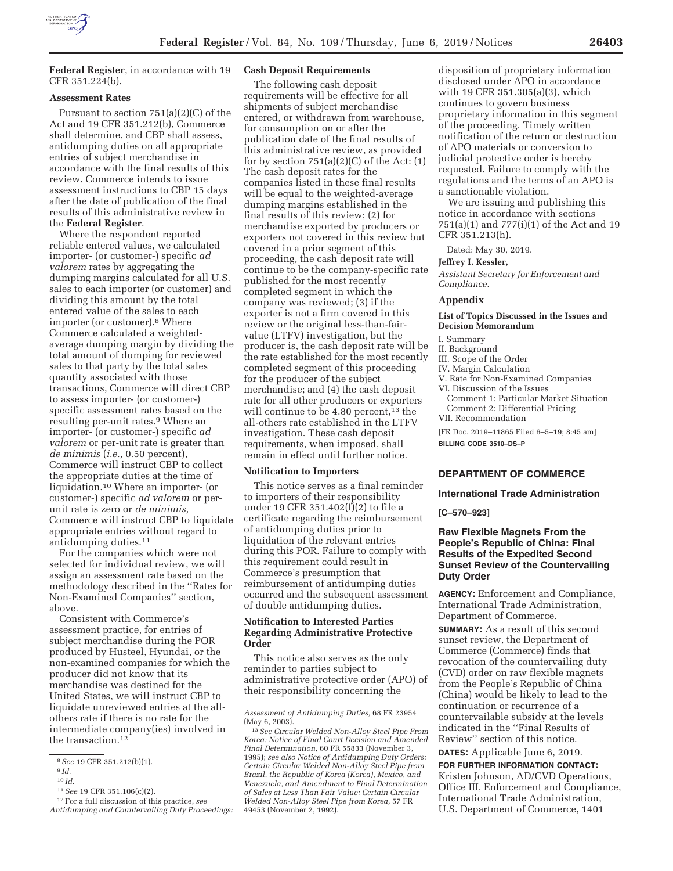

**Federal Register**, in accordance with 19 CFR 351.224(b).

## **Assessment Rates**

Pursuant to section 751(a)(2)(C) of the Act and 19 CFR 351.212(b), Commerce shall determine, and CBP shall assess, antidumping duties on all appropriate entries of subject merchandise in accordance with the final results of this review. Commerce intends to issue assessment instructions to CBP 15 days after the date of publication of the final results of this administrative review in the **Federal Register**.

Where the respondent reported reliable entered values, we calculated importer- (or customer-) specific *ad valorem* rates by aggregating the dumping margins calculated for all U.S. sales to each importer (or customer) and dividing this amount by the total entered value of the sales to each importer (or customer).8 Where Commerce calculated a weightedaverage dumping margin by dividing the total amount of dumping for reviewed sales to that party by the total sales quantity associated with those transactions, Commerce will direct CBP to assess importer- (or customer-) specific assessment rates based on the resulting per-unit rates.9 Where an importer- (or customer-) specific *ad valorem* or per-unit rate is greater than *de minimis* (*i.e.,* 0.50 percent), Commerce will instruct CBP to collect the appropriate duties at the time of liquidation.10 Where an importer- (or customer-) specific *ad valorem* or perunit rate is zero or *de minimis,*  Commerce will instruct CBP to liquidate appropriate entries without regard to antidumping duties.11

For the companies which were not selected for individual review, we will assign an assessment rate based on the methodology described in the ''Rates for Non-Examined Companies'' section, above.

Consistent with Commerce's assessment practice, for entries of subject merchandise during the POR produced by Husteel, Hyundai, or the non-examined companies for which the producer did not know that its merchandise was destined for the United States, we will instruct CBP to liquidate unreviewed entries at the allothers rate if there is no rate for the intermediate company(ies) involved in the transaction.<sup>12</sup>

- $^{10}\,Id.$
- 11*See* 19 CFR 351.106(c)(2).

# **Cash Deposit Requirements**

The following cash deposit requirements will be effective for all shipments of subject merchandise entered, or withdrawn from warehouse, for consumption on or after the publication date of the final results of this administrative review, as provided for by section  $751(a)(2)(C)$  of the Act:  $(1)$ The cash deposit rates for the companies listed in these final results will be equal to the weighted-average dumping margins established in the final results of this review; (2) for merchandise exported by producers or exporters not covered in this review but covered in a prior segment of this proceeding, the cash deposit rate will continue to be the company-specific rate published for the most recently completed segment in which the company was reviewed; (3) if the exporter is not a firm covered in this review or the original less-than-fairvalue (LTFV) investigation, but the producer is, the cash deposit rate will be the rate established for the most recently completed segment of this proceeding for the producer of the subject merchandise; and (4) the cash deposit rate for all other producers or exporters will continue to be  $4.80$  percent,<sup>13</sup> the all-others rate established in the LTFV investigation. These cash deposit requirements, when imposed, shall remain in effect until further notice.

#### **Notification to Importers**

This notice serves as a final reminder to importers of their responsibility under 19 CFR 351.402(f)(2) to file a certificate regarding the reimbursement of antidumping duties prior to liquidation of the relevant entries during this POR. Failure to comply with this requirement could result in Commerce's presumption that reimbursement of antidumping duties occurred and the subsequent assessment of double antidumping duties.

## **Notification to Interested Parties Regarding Administrative Protective Order**

This notice also serves as the only reminder to parties subject to administrative protective order (APO) of their responsibility concerning the

disposition of proprietary information disclosed under APO in accordance with 19 CFR 351.305(a)(3), which continues to govern business proprietary information in this segment of the proceeding. Timely written notification of the return or destruction of APO materials or conversion to judicial protective order is hereby requested. Failure to comply with the regulations and the terms of an APO is a sanctionable violation.

We are issuing and publishing this notice in accordance with sections 751(a)(1) and 777(i)(1) of the Act and 19 CFR 351.213(h).

Dated: May 30, 2019.

#### **Jeffrey I. Kessler,**

*Assistant Secretary for Enforcement and Compliance.* 

#### **Appendix**

#### **List of Topics Discussed in the Issues and Decision Memorandum**

I. Summary

#### II. Background

- III. Scope of the Order
- IV. Margin Calculation
- V. Rate for Non-Examined Companies
- VI. Discussion of the Issues
- Comment 1: Particular Market Situation Comment 2: Differential Pricing VII. Recommendation
- 

[FR Doc. 2019–11865 Filed 6–5–19; 8:45 am] **BILLING CODE 3510–DS–P** 

## **DEPARTMENT OF COMMERCE**

## **International Trade Administration**

**[C–570–923]** 

## **Raw Flexible Magnets From the People's Republic of China: Final Results of the Expedited Second Sunset Review of the Countervailing Duty Order**

**AGENCY:** Enforcement and Compliance, International Trade Administration, Department of Commerce.

**SUMMARY:** As a result of this second sunset review, the Department of Commerce (Commerce) finds that revocation of the countervailing duty (CVD) order on raw flexible magnets from the People's Republic of China (China) would be likely to lead to the continuation or recurrence of a countervailable subsidy at the levels indicated in the ''Final Results of Review'' section of this notice.

**DATES:** Applicable June 6, 2019.

**FOR FURTHER INFORMATION CONTACT:**  Kristen Johnson, AD/CVD Operations, Office III, Enforcement and Compliance, International Trade Administration, U.S. Department of Commerce, 1401

<sup>8</sup>*See* 19 CFR 351.212(b)(1).

<sup>9</sup> *Id.* 

<sup>12</sup>For a full discussion of this practice, *see Antidumping and Countervailing Duty Proceedings:* 

*Assessment of Antidumping Duties,* 68 FR 23954 (May 6, 2003).

<sup>13</sup>*See Circular Welded Non-Alloy Steel Pipe From Korea: Notice of Final Court Decision and Amended Final Determination,* 60 FR 55833 (November 3, 1995); *see also Notice of Antidumping Duty Orders: Certain Circular Welded Non-Alloy Steel Pipe from Brazil, the Republic of Korea (Korea), Mexico, and Venezuela, and Amendment to Final Determination of Sales at Less Than Fair Value: Certain Circular Welded Non-Alloy Steel Pipe from Korea,* 57 FR 49453 (November 2, 1992).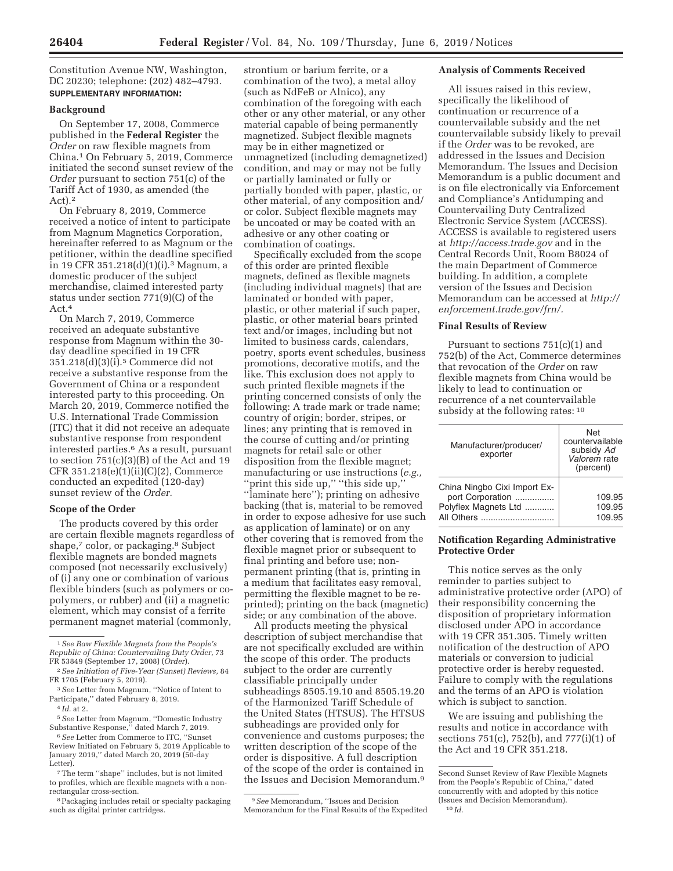Constitution Avenue NW, Washington, DC 20230; telephone: (202) 482–4793. **SUPPLEMENTARY INFORMATION:** 

#### **Background**

On September 17, 2008, Commerce published in the **Federal Register** the *Order* on raw flexible magnets from China.1 On February 5, 2019, Commerce initiated the second sunset review of the *Order* pursuant to section 751(c) of the Tariff Act of 1930, as amended (the Act).2

On February 8, 2019, Commerce received a notice of intent to participate from Magnum Magnetics Corporation, hereinafter referred to as Magnum or the petitioner, within the deadline specified in 19 CFR 351.218(d)(1)(i).3 Magnum, a domestic producer of the subject merchandise, claimed interested party status under section 771(9)(C) of the Act.4

On March 7, 2019, Commerce received an adequate substantive response from Magnum within the 30 day deadline specified in 19 CFR 351.218(d)(3)(i).5 Commerce did not receive a substantive response from the Government of China or a respondent interested party to this proceeding. On March 20, 2019, Commerce notified the U.S. International Trade Commission (ITC) that it did not receive an adequate substantive response from respondent interested parties.6 As a result, pursuant to section 751(c)(3)(B) of the Act and 19 CFR 351.218(e)(1)(ii)(C)(2), Commerce conducted an expedited (120-day) sunset review of the *Order.* 

### **Scope of the Order**

The products covered by this order are certain flexible magnets regardless of shape,<sup>7</sup> color, or packaging.<sup>8</sup> Subject flexible magnets are bonded magnets composed (not necessarily exclusively) of (i) any one or combination of various flexible binders (such as polymers or copolymers, or rubber) and (ii) a magnetic element, which may consist of a ferrite permanent magnet material (commonly,

strontium or barium ferrite, or a combination of the two), a metal alloy (such as NdFeB or Alnico), any combination of the foregoing with each other or any other material, or any other material capable of being permanently magnetized. Subject flexible magnets may be in either magnetized or unmagnetized (including demagnetized) condition, and may or may not be fully or partially laminated or fully or partially bonded with paper, plastic, or other material, of any composition and/ or color. Subject flexible magnets may be uncoated or may be coated with an adhesive or any other coating or combination of coatings.

Specifically excluded from the scope of this order are printed flexible magnets, defined as flexible magnets (including individual magnets) that are laminated or bonded with paper, plastic, or other material if such paper, plastic, or other material bears printed text and/or images, including but not limited to business cards, calendars, poetry, sports event schedules, business promotions, decorative motifs, and the like. This exclusion does not apply to such printed flexible magnets if the printing concerned consists of only the following: A trade mark or trade name; country of origin; border, stripes, or lines; any printing that is removed in the course of cutting and/or printing magnets for retail sale or other disposition from the flexible magnet; manufacturing or use instructions (*e.g.,*  "print this side up," "this side up," ''laminate here''); printing on adhesive backing (that is, material to be removed in order to expose adhesive for use such as application of laminate) or on any other covering that is removed from the flexible magnet prior or subsequent to final printing and before use; nonpermanent printing (that is, printing in a medium that facilitates easy removal, permitting the flexible magnet to be reprinted); printing on the back (magnetic) side; or any combination of the above.

All products meeting the physical description of subject merchandise that are not specifically excluded are within the scope of this order. The products subject to the order are currently classifiable principally under subheadings 8505.19.10 and 8505.19.20 of the Harmonized Tariff Schedule of the United States (HTSUS). The HTSUS subheadings are provided only for convenience and customs purposes; the written description of the scope of the order is dispositive. A full description of the scope of the order is contained in the Issues and Decision Memorandum.9

### **Analysis of Comments Received**

All issues raised in this review, specifically the likelihood of continuation or recurrence of a countervailable subsidy and the net countervailable subsidy likely to prevail if the *Order* was to be revoked, are addressed in the Issues and Decision Memorandum. The Issues and Decision Memorandum is a public document and is on file electronically via Enforcement and Compliance's Antidumping and Countervailing Duty Centralized Electronic Service System (ACCESS). ACCESS is available to registered users at *http://access.trade.gov* and in the Central Records Unit, Room B8024 of the main Department of Commerce building. In addition, a complete version of the Issues and Decision Memorandum can be accessed at *http:// enforcement.trade.gov/frn/.* 

## **Final Results of Review**

Pursuant to sections 751(c)(1) and 752(b) of the Act, Commerce determines that revocation of the *Order* on raw flexible magnets from China would be likely to lead to continuation or recurrence of a net countervailable subsidy at the following rates: 10

| Manufacturer/producer/<br>exporter                                       | Net<br>countervailable<br>subsidy Ad<br>Valorem rate<br>(percent) |
|--------------------------------------------------------------------------|-------------------------------------------------------------------|
| China Ningbo Cixi Import Ex-<br>port Corporation<br>Polyflex Magnets Ltd | 109.95<br>109.95<br>109.95                                        |

### **Notification Regarding Administrative Protective Order**

This notice serves as the only reminder to parties subject to administrative protective order (APO) of their responsibility concerning the disposition of proprietary information disclosed under APO in accordance with 19 CFR 351.305. Timely written notification of the destruction of APO materials or conversion to judicial protective order is hereby requested. Failure to comply with the regulations and the terms of an APO is violation which is subject to sanction.

We are issuing and publishing the results and notice in accordance with sections 751(c), 752(b), and 777(i)(1) of the Act and 19 CFR 351.218.

<sup>1</sup>*See Raw Flexible Magnets from the People's Republic of China: Countervailing Duty Order,* 73 FR 53849 (September 17, 2008) (*Order*).

<sup>2</sup>*See Initiation of Five-Year (Sunset) Reviews,* 84 FR 1705 (February 5, 2019).

<sup>3</sup>*See* Letter from Magnum, ''Notice of Intent to Participate,'' dated February 8, 2019.

<sup>4</sup> *Id.* at 2.

<sup>5</sup>*See* Letter from Magnum, ''Domestic Industry Substantive Response,'' dated March 7, 2019. 6*See* Letter from Commerce to ITC, ''Sunset

Review Initiated on February 5, 2019 Applicable to January 2019,'' dated March 20, 2019 (50-day Letter).

 $\sqrt{7}$  The term ''shape'' includes, but is not limited to profiles, which are flexible magnets with a nonrectangular cross-section.

<sup>8</sup>Packaging includes retail or specialty packaging such as digital printer cartridges.

<sup>9</sup>*See* Memorandum, ''Issues and Decision Memorandum for the Final Results of the Expedited

Second Sunset Review of Raw Flexible Magnets from the People's Republic of China,'' dated concurrently with and adopted by this notice (Issues and Decision Memorandum). 10 *Id.*